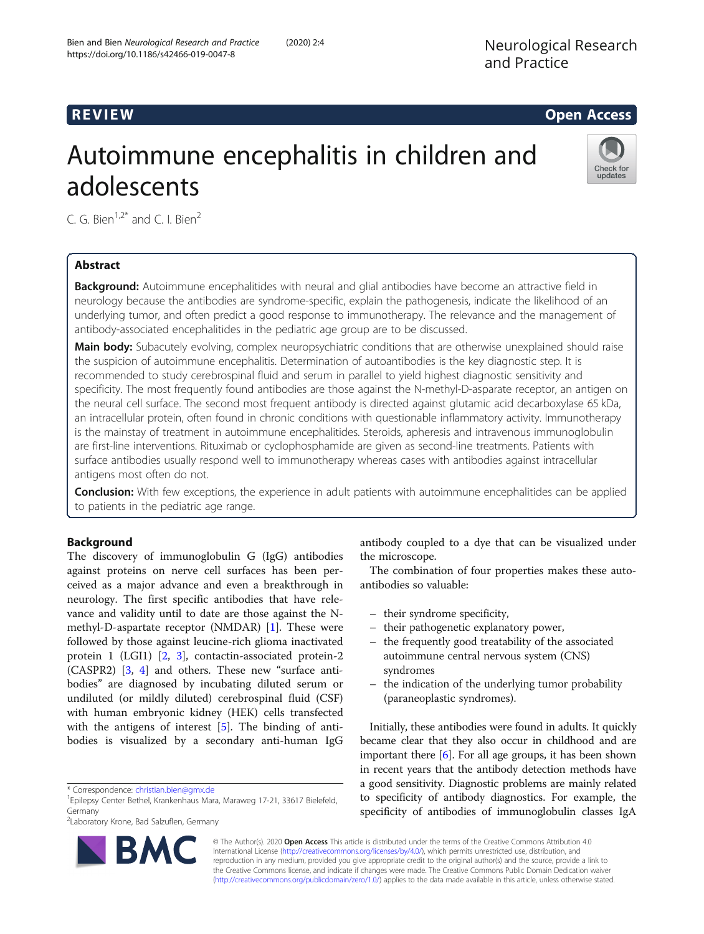# R EVI EW Open Access

# Autoimmune encephalitis in children and adolescents



C. G. Bien<sup>1,2\*</sup> and C. I. Bien<sup>2</sup>

# Abstract

**Background:** Autoimmune encephalitides with neural and glial antibodies have become an attractive field in neurology because the antibodies are syndrome-specific, explain the pathogenesis, indicate the likelihood of an underlying tumor, and often predict a good response to immunotherapy. The relevance and the management of antibody-associated encephalitides in the pediatric age group are to be discussed.

Main body: Subacutely evolving, complex neuropsychiatric conditions that are otherwise unexplained should raise the suspicion of autoimmune encephalitis. Determination of autoantibodies is the key diagnostic step. It is recommended to study cerebrospinal fluid and serum in parallel to yield highest diagnostic sensitivity and specificity. The most frequently found antibodies are those against the N-methyl-D-asparate receptor, an antigen on the neural cell surface. The second most frequent antibody is directed against glutamic acid decarboxylase 65 kDa, an intracellular protein, often found in chronic conditions with questionable inflammatory activity. Immunotherapy is the mainstay of treatment in autoimmune encephalitides. Steroids, apheresis and intravenous immunoglobulin are first-line interventions. Rituximab or cyclophosphamide are given as second-line treatments. Patients with surface antibodies usually respond well to immunotherapy whereas cases with antibodies against intracellular antigens most often do not.

**Conclusion:** With few exceptions, the experience in adult patients with autoimmune encephalitides can be applied to patients in the pediatric age range.

# Background

The discovery of immunoglobulin G (IgG) antibodies against proteins on nerve cell surfaces has been perceived as a major advance and even a breakthrough in neurology. The first specific antibodies that have relevance and validity until to date are those against the Nmethyl-D-aspartate receptor (NMDAR) [\[1](#page-5-0)]. These were followed by those against leucine-rich glioma inactivated protein 1 (LGI1) [\[2,](#page-5-0) [3](#page-6-0)], contactin-associated protein-2 (CASPR2) [\[3](#page-6-0), [4\]](#page-6-0) and others. These new "surface antibodies" are diagnosed by incubating diluted serum or undiluted (or mildly diluted) cerebrospinal fluid (CSF) with human embryonic kidney (HEK) cells transfected with the antigens of interest [[5\]](#page-6-0). The binding of antibodies is visualized by a secondary anti-human IgG



the microscope.

antibodies so valuable:

– their syndrome specificity,

– their pathogenetic explanatory power,

Initially, these antibodies were found in adults. It quickly became clear that they also occur in childhood and are important there [[6](#page-6-0)]. For all age groups, it has been shown in recent years that the antibody detection methods have a good sensitivity. Diagnostic problems are mainly related to specificity of antibody diagnostics. For example, the specificity of antibodies of immunoglobulin classes IgA

antibody coupled to a dye that can be visualized under

The combination of four properties makes these auto-

– the frequently good treatability of the associated autoimmune central nervous system (CNS)

© The Author(s). 2020 **Open Access** This article is distributed under the terms of the Creative Commons Attribution 4.0 International License [\(http://creativecommons.org/licenses/by/4.0/](http://creativecommons.org/licenses/by/4.0/)), which permits unrestricted use, distribution, and reproduction in any medium, provided you give appropriate credit to the original author(s) and the source, provide a link to the Creative Commons license, and indicate if changes were made. The Creative Commons Public Domain Dedication waiver [\(http://creativecommons.org/publicdomain/zero/1.0/](http://creativecommons.org/publicdomain/zero/1.0/)) applies to the data made available in this article, unless otherwise stated.

<sup>\*</sup> Correspondence: [christian.bien@gmx.de](mailto:christian.bien@gmx.de) <sup>1</sup>

<sup>&</sup>lt;sup>1</sup> Epilepsy Center Bethel, Krankenhaus Mara, Maraweg 17-21, 33617 Bielefeld, Germany

<sup>2</sup> Laboratory Krone, Bad Salzuflen, Germany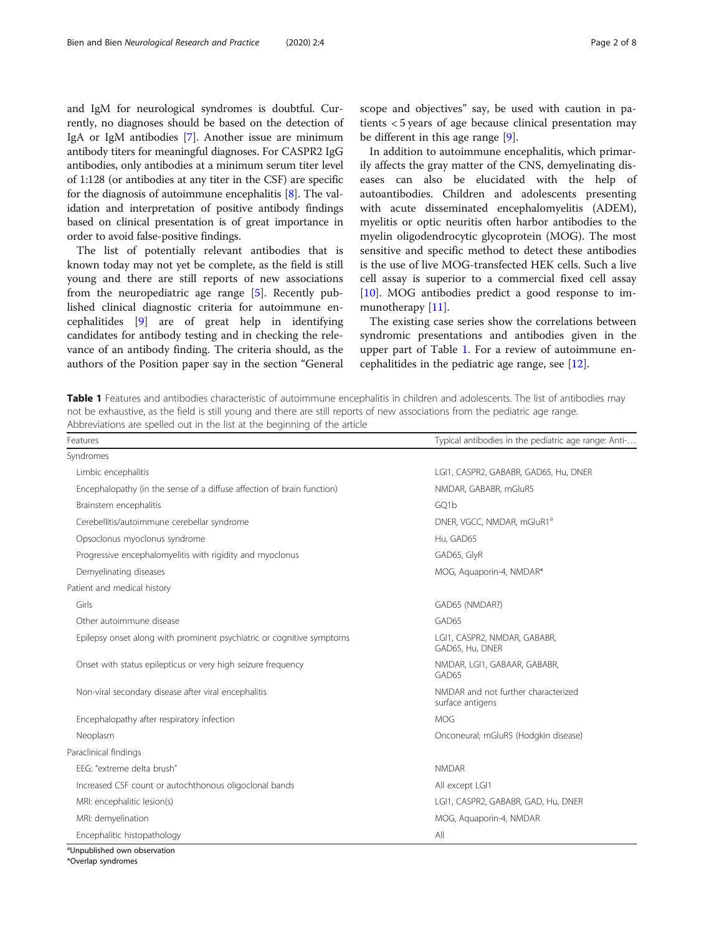and IgM for neurological syndromes is doubtful. Currently, no diagnoses should be based on the detection of IgA or IgM antibodies [\[7\]](#page-6-0). Another issue are minimum antibody titers for meaningful diagnoses. For CASPR2 IgG antibodies, only antibodies at a minimum serum titer level of 1:128 (or antibodies at any titer in the CSF) are specific for the diagnosis of autoimmune encephalitis [\[8\]](#page-6-0). The validation and interpretation of positive antibody findings based on clinical presentation is of great importance in order to avoid false-positive findings.

The list of potentially relevant antibodies that is known today may not yet be complete, as the field is still young and there are still reports of new associations from the neuropediatric age range [\[5](#page-6-0)]. Recently published clinical diagnostic criteria for autoimmune encephalitides [\[9](#page-6-0)] are of great help in identifying candidates for antibody testing and in checking the relevance of an antibody finding. The criteria should, as the authors of the Position paper say in the section "General scope and objectives" say, be used with caution in patients < 5 years of age because clinical presentation may be different in this age range [\[9](#page-6-0)].

In addition to autoimmune encephalitis, which primarily affects the gray matter of the CNS, demyelinating diseases can also be elucidated with the help of autoantibodies. Children and adolescents presenting with acute disseminated encephalomyelitis (ADEM), myelitis or optic neuritis often harbor antibodies to the myelin oligodendrocytic glycoprotein (MOG). The most sensitive and specific method to detect these antibodies is the use of live MOG-transfected HEK cells. Such a live cell assay is superior to a commercial fixed cell assay [[10\]](#page-6-0). MOG antibodies predict a good response to im-munotherapy [\[11](#page-6-0)].

The existing case series show the correlations between syndromic presentations and antibodies given in the upper part of Table 1. For a review of autoimmune encephalitides in the pediatric age range, see  $[12]$  $[12]$ .

Table 1 Features and antibodies characteristic of autoimmune encephalitis in children and adolescents. The list of antibodies may not be exhaustive, as the field is still young and there are still reports of new associations from the pediatric age range. Abbreviations are spelled out in the list at the beginning of the article

| Features                                                               | Typical antibodies in the pediatric age range: Anti-    |
|------------------------------------------------------------------------|---------------------------------------------------------|
| Syndromes                                                              |                                                         |
| Limbic encephalitis                                                    | LGI1, CASPR2, GABABR, GAD65, Hu, DNER                   |
| Encephalopathy (in the sense of a diffuse affection of brain function) | NMDAR, GABABR, mGluR5                                   |
| Brainstem encephalitis                                                 | GQ1b                                                    |
| Cerebellitis/autoimmune cerebellar syndrome                            | DNER, VGCC, NMDAR, mGluR1 <sup>a</sup>                  |
| Opsoclonus myoclonus syndrome                                          | Hu, GAD65                                               |
| Progressive encephalomyelitis with rigidity and myoclonus              | GAD65, GlyR                                             |
| Demyelinating diseases                                                 | MOG, Aquaporin-4, NMDAR*                                |
| Patient and medical history                                            |                                                         |
| Girls                                                                  | GAD65 (NMDAR?)                                          |
| Other autoimmune disease                                               | GAD65                                                   |
| Epilepsy onset along with prominent psychiatric or cognitive symptoms  | LGI1, CASPR2, NMDAR, GABABR,<br>GAD65, Hu, DNER         |
| Onset with status epilepticus or very high seizure frequency           | NMDAR, LGI1, GABAAR, GABABR,<br>GAD65                   |
| Non-viral secondary disease after viral encephalitis                   | NMDAR and not further characterized<br>surface antigens |
| Encephalopathy after respiratory infection                             | <b>MOG</b>                                              |
| Neoplasm                                                               | Onconeural; mGluR5 (Hodgkin disease)                    |
| Paraclinical findings                                                  |                                                         |
| EEG: "extreme delta brush"                                             | <b>NMDAR</b>                                            |
| Increased CSF count or autochthonous oligoclonal bands                 | All except LGI1                                         |
| MRI: encephalitic lesion(s)                                            | LGI1, CASPR2, GABABR, GAD, Hu, DNER                     |
| MRI: demyelination                                                     | MOG, Aquaporin-4, NMDAR                                 |
| Encephalitic histopathology                                            | All                                                     |

\*Overlap syndromes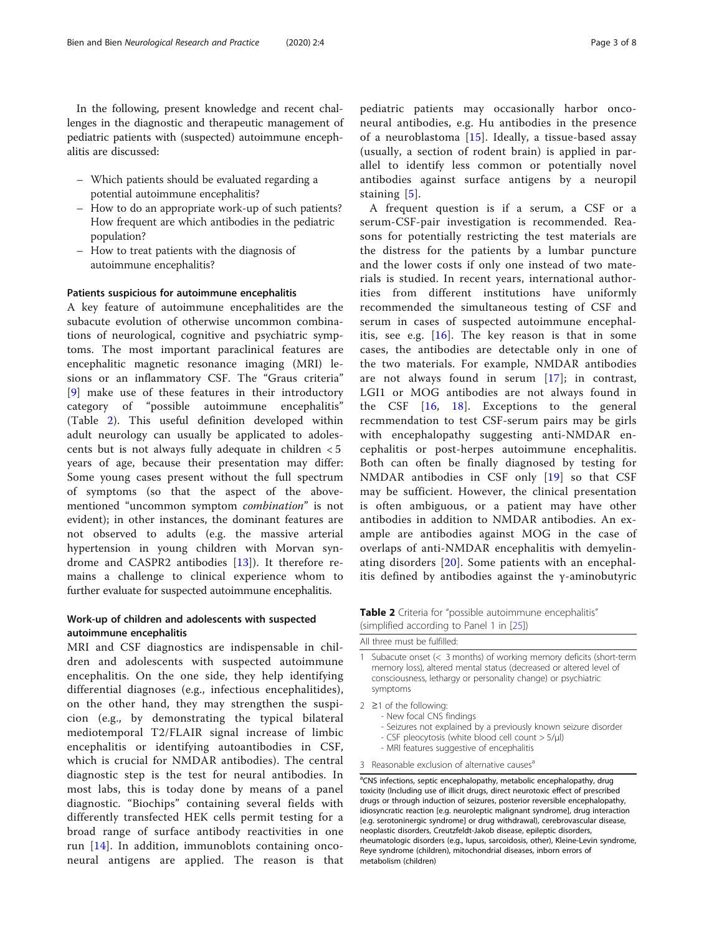In the following, present knowledge and recent challenges in the diagnostic and therapeutic management of pediatric patients with (suspected) autoimmune encephalitis are discussed:

- Which patients should be evaluated regarding a potential autoimmune encephalitis?
- How to do an appropriate work-up of such patients? How frequent are which antibodies in the pediatric population?
- How to treat patients with the diagnosis of autoimmune encephalitis?

#### Patients suspicious for autoimmune encephalitis

A key feature of autoimmune encephalitides are the subacute evolution of otherwise uncommon combinations of neurological, cognitive and psychiatric symptoms. The most important paraclinical features are encephalitic magnetic resonance imaging (MRI) lesions or an inflammatory CSF. The "Graus criteria" [[9\]](#page-6-0) make use of these features in their introductory category of "possible autoimmune encephalitis" (Table 2). This useful definition developed within adult neurology can usually be applicated to adolescents but is not always fully adequate in children < 5 years of age, because their presentation may differ: Some young cases present without the full spectrum of symptoms (so that the aspect of the abovementioned "uncommon symptom combination" is not evident); in other instances, the dominant features are not observed to adults (e.g. the massive arterial hypertension in young children with Morvan syndrome and CASPR2 antibodies [[13\]](#page-6-0)). It therefore remains a challenge to clinical experience whom to further evaluate for suspected autoimmune encephalitis.

#### Work-up of children and adolescents with suspected autoimmune encephalitis

MRI and CSF diagnostics are indispensable in children and adolescents with suspected autoimmune encephalitis. On the one side, they help identifying differential diagnoses (e.g., infectious encephalitides), on the other hand, they may strengthen the suspicion (e.g., by demonstrating the typical bilateral mediotemporal T2/FLAIR signal increase of limbic encephalitis or identifying autoantibodies in CSF, which is crucial for NMDAR antibodies). The central diagnostic step is the test for neural antibodies. In most labs, this is today done by means of a panel diagnostic. "Biochips" containing several fields with differently transfected HEK cells permit testing for a broad range of surface antibody reactivities in one run [[14\]](#page-6-0). In addition, immunoblots containing onconeural antigens are applied. The reason is that

pediatric patients may occasionally harbor onconeural antibodies, e.g. Hu antibodies in the presence of a neuroblastoma [[15](#page-6-0)]. Ideally, a tissue-based assay (usually, a section of rodent brain) is applied in parallel to identify less common or potentially novel antibodies against surface antigens by a neuropil staining [[5\]](#page-6-0).

A frequent question is if a serum, a CSF or a serum-CSF-pair investigation is recommended. Reasons for potentially restricting the test materials are the distress for the patients by a lumbar puncture and the lower costs if only one instead of two materials is studied. In recent years, international authorities from different institutions have uniformly recommended the simultaneous testing of CSF and serum in cases of suspected autoimmune encephalitis, see e.g. [\[16](#page-6-0)]. The key reason is that in some cases, the antibodies are detectable only in one of the two materials. For example, NMDAR antibodies are not always found in serum [[17\]](#page-6-0); in contrast, LGI1 or MOG antibodies are not always found in the CSF [\[16,](#page-6-0) [18\]](#page-6-0). Exceptions to the general recmmendation to test CSF-serum pairs may be girls with encephalopathy suggesting anti-NMDAR encephalitis or post-herpes autoimmune encephalitis. Both can often be finally diagnosed by testing for NMDAR antibodies in CSF only [[19\]](#page-6-0) so that CSF may be sufficient. However, the clinical presentation is often ambiguous, or a patient may have other antibodies in addition to NMDAR antibodies. An example are antibodies against MOG in the case of overlaps of anti-NMDAR encephalitis with demyelinating disorders [\[20](#page-6-0)]. Some patients with an encephalitis defined by antibodies against the γ-aminobutyric

Table 2 Criteria for "possible autoimmune encephalitis" (simplified according to Panel 1 in [[25](#page-6-0)])

|    | All three must be fulfilled:                                                                                                                                                                                                                                                                                                                                                                                                                                                                                                                                                                                              |
|----|---------------------------------------------------------------------------------------------------------------------------------------------------------------------------------------------------------------------------------------------------------------------------------------------------------------------------------------------------------------------------------------------------------------------------------------------------------------------------------------------------------------------------------------------------------------------------------------------------------------------------|
| 1  | Subacute onset $(<$ 3 months) of working memory deficits (short-term<br>memory loss), altered mental status (decreased or altered level of<br>consciousness, lethargy or personality change) or psychiatric<br>symptoms                                                                                                                                                                                                                                                                                                                                                                                                   |
|    | $2 \ge 1$ of the following:<br>- New focal CNS findings<br>- Seizures not explained by a previously known seizure disorder<br>- CSF pleocytosis (white blood cell count > 5/µl)<br>- MRI features suggestive of encephalitis                                                                                                                                                                                                                                                                                                                                                                                              |
| 3. | Reasonable exclusion of alternative causes <sup>a</sup>                                                                                                                                                                                                                                                                                                                                                                                                                                                                                                                                                                   |
|    | <sup>a</sup> CNS infections, septic encephalopathy, metabolic encephalopathy, drug<br>toxicity (Including use of illicit drugs, direct neurotoxic effect of prescribed<br>drugs or through induction of seizures, posterior reversible encephalopathy,<br>idiosyncratic reaction [e.g. neuroleptic malignant syndrome], drug interaction<br>[e.g. serotoninergic syndrome] or drug withdrawal), cerebrovascular disease,<br>neoplastic disorders, Creutzfeldt-Jakob disease, epileptic disorders,<br>التواصيح والمنافر والمتحر الاستطاع والمتحر والمعاون والمتحر والمنافر والمتحر المتحر والمتحر المتحر والمستحر والمنافر |

rheumatologic disorders (e.g., lupus, sarcoidosis, other), Kleine-Levin syndrome, Reye syndrome (children), mitochondrial diseases, inborn errors of metabolism (children)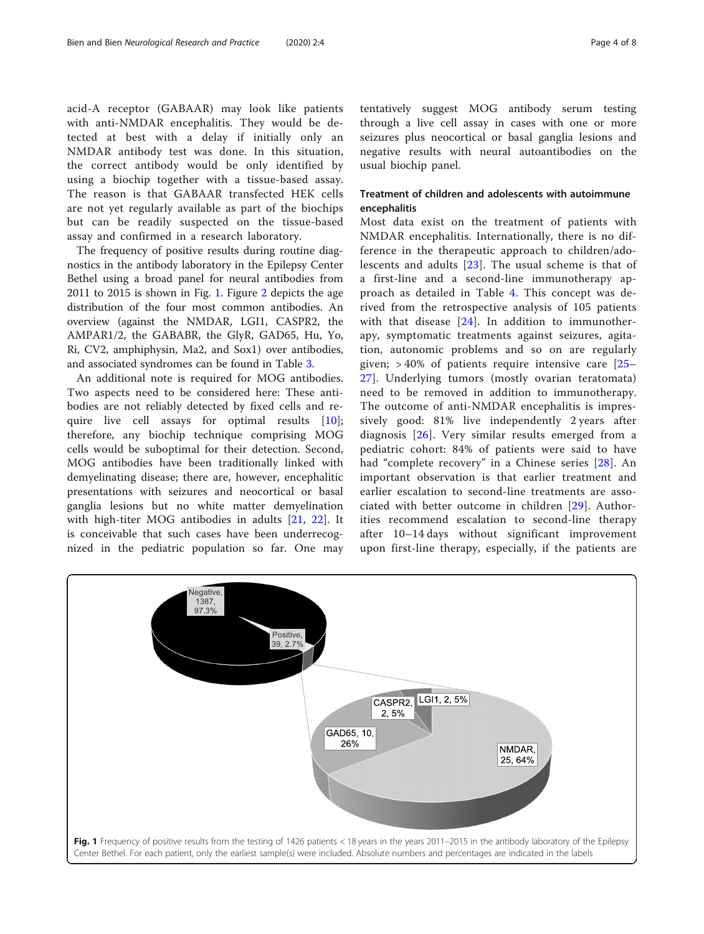acid-A receptor (GABAAR) may look like patients with anti-NMDAR encephalitis. They would be detected at best with a delay if initially only an NMDAR antibody test was done. In this situation, the correct antibody would be only identified by using a biochip together with a tissue-based assay. The reason is that GABAAR transfected HEK cells are not yet regularly available as part of the biochips but can be readily suspected on the tissue-based assay and confirmed in a research laboratory.

The frequency of positive results during routine diagnostics in the antibody laboratory in the Epilepsy Center Bethel using a broad panel for neural antibodies from 2011 to 2015 is shown in Fig. 1. Figure [2](#page-4-0) depicts the age distribution of the four most common antibodies. An overview (against the NMDAR, LGI1, CASPR2, the AMPAR1/2, the GABABR, the GlyR, GAD65, Hu, Yo, Ri, CV2, amphiphysin, Ma2, and Sox1) over antibodies, and associated syndromes can be found in Table [3.](#page-5-0)

An additional note is required for MOG antibodies. Two aspects need to be considered here: These antibodies are not reliably detected by fixed cells and require live cell assays for optimal results [\[10](#page-6-0)]; therefore, any biochip technique comprising MOG cells would be suboptimal for their detection. Second, MOG antibodies have been traditionally linked with demyelinating disease; there are, however, encephalitic presentations with seizures and neocortical or basal ganglia lesions but no white matter demyelination with high-titer MOG antibodies in adults [[21,](#page-6-0) [22\]](#page-6-0). It is conceivable that such cases have been underrecognized in the pediatric population so far. One may tentatively suggest MOG antibody serum testing through a live cell assay in cases with one or more seizures plus neocortical or basal ganglia lesions and negative results with neural autoantibodies on the usual biochip panel.

## Treatment of children and adolescents with autoimmune encephalitis

Most data exist on the treatment of patients with NMDAR encephalitis. Internationally, there is no difference in the therapeutic approach to children/adolescents and adults [\[23](#page-6-0)]. The usual scheme is that of a first-line and a second-line immunotherapy approach as detailed in Table [4](#page-5-0). This concept was derived from the retrospective analysis of 105 patients with that disease [\[24\]](#page-6-0). In addition to immunotherapy, symptomatic treatments against seizures, agitation, autonomic problems and so on are regularly given;  $>40\%$  of patients require intensive care [\[25](#page-6-0)– [27\]](#page-6-0). Underlying tumors (mostly ovarian teratomata) need to be removed in addition to immunotherapy. The outcome of anti-NMDAR encephalitis is impressively good: 81% live independently 2 years after diagnosis [[26\]](#page-6-0). Very similar results emerged from a pediatric cohort: 84% of patients were said to have had "complete recovery" in a Chinese series [[28](#page-6-0)]. An important observation is that earlier treatment and earlier escalation to second-line treatments are associated with better outcome in children [[29](#page-6-0)]. Authorities recommend escalation to second-line therapy after 10–14 days without significant improvement upon first-line therapy, especially, if the patients are

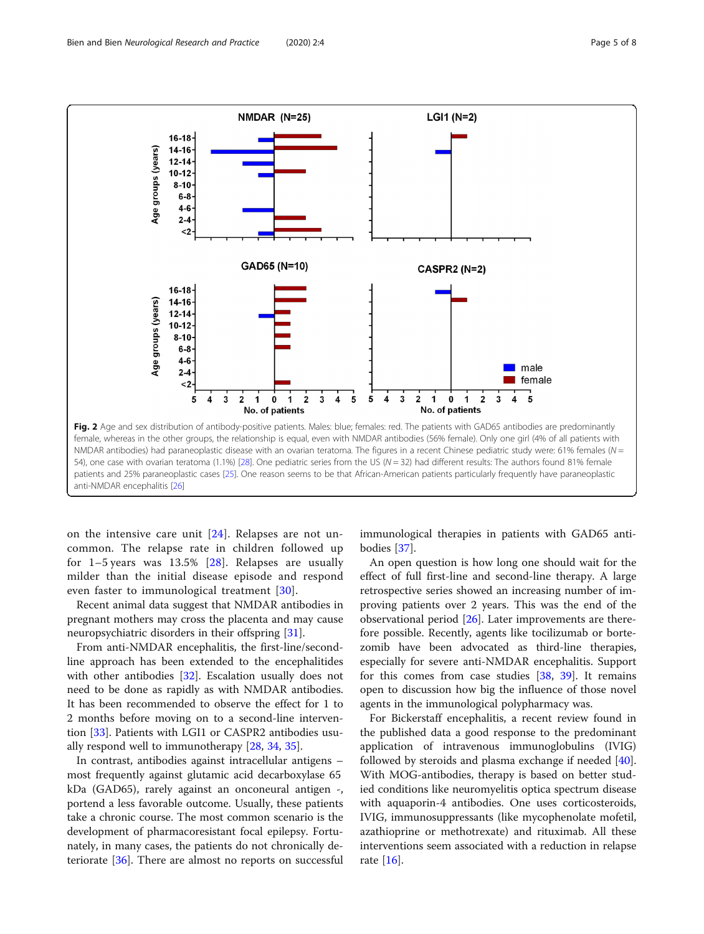<span id="page-4-0"></span>

on the intensive care unit [[24](#page-6-0)]. Relapses are not uncommon. The relapse rate in children followed up for  $1-5$  years was  $13.5\%$  [\[28\]](#page-6-0). Relapses are usually milder than the initial disease episode and respond even faster to immunological treatment [\[30\]](#page-6-0).

Recent animal data suggest that NMDAR antibodies in pregnant mothers may cross the placenta and may cause neuropsychiatric disorders in their offspring [\[31\]](#page-6-0).

From anti-NMDAR encephalitis, the first-line/secondline approach has been extended to the encephalitides with other antibodies [\[32\]](#page-6-0). Escalation usually does not need to be done as rapidly as with NMDAR antibodies. It has been recommended to observe the effect for 1 to 2 months before moving on to a second-line intervention [\[33](#page-6-0)]. Patients with LGI1 or CASPR2 antibodies usually respond well to immunotherapy [\[28](#page-6-0), [34](#page-6-0), [35\]](#page-6-0).

In contrast, antibodies against intracellular antigens – most frequently against glutamic acid decarboxylase 65 kDa (GAD65), rarely against an onconeural antigen -, portend a less favorable outcome. Usually, these patients take a chronic course. The most common scenario is the development of pharmacoresistant focal epilepsy. Fortunately, in many cases, the patients do not chronically deteriorate [[36\]](#page-7-0). There are almost no reports on successful

immunological therapies in patients with GAD65 antibodies [\[37\]](#page-7-0).

An open question is how long one should wait for the effect of full first-line and second-line therapy. A large retrospective series showed an increasing number of improving patients over 2 years. This was the end of the observational period  $[26]$  $[26]$ . Later improvements are therefore possible. Recently, agents like tocilizumab or bortezomib have been advocated as third-line therapies, especially for severe anti-NMDAR encephalitis. Support for this comes from case studies [[38,](#page-7-0) [39\]](#page-7-0). It remains open to discussion how big the influence of those novel agents in the immunological polypharmacy was.

For Bickerstaff encephalitis, a recent review found in the published data a good response to the predominant application of intravenous immunoglobulins (IVIG) followed by steroids and plasma exchange if needed [\[40](#page-7-0)]. With MOG-antibodies, therapy is based on better studied conditions like neuromyelitis optica spectrum disease with aquaporin-4 antibodies. One uses corticosteroids, IVIG, immunosuppressants (like mycophenolate mofetil, azathioprine or methotrexate) and rituximab. All these interventions seem associated with a reduction in relapse rate [\[16](#page-6-0)].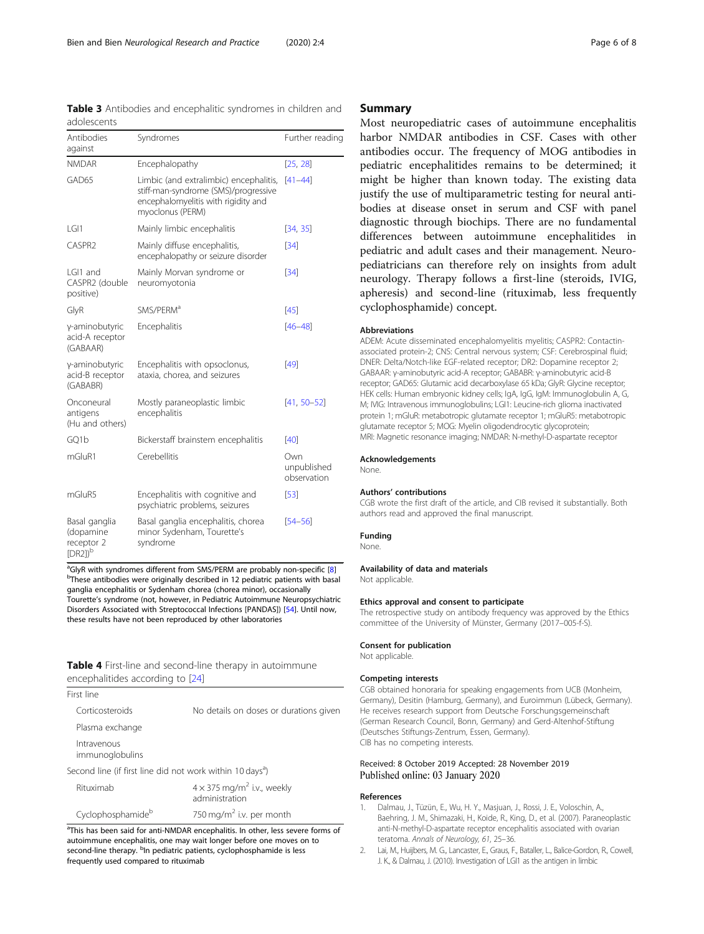<span id="page-5-0"></span>

| Antibodies<br>against                                  | Syndromes                                                                                                                                 | Further reading                   |
|--------------------------------------------------------|-------------------------------------------------------------------------------------------------------------------------------------------|-----------------------------------|
| <b>NMDAR</b>                                           | Encephalopathy                                                                                                                            | [25, 28]                          |
| GAD65                                                  | Limbic (and extralimbic) encephalitis,<br>stiff-man-syndrome (SMS)/progressive<br>encephalomyelitis with rigidity and<br>myoclonus (PERM) | $[41 - 44]$                       |
| LGI1                                                   | Mainly limbic encephalitis                                                                                                                | [34, 35]                          |
| CASPR2                                                 | Mainly diffuse encephalitis,<br>encephalopathy or seizure disorder                                                                        | [34]                              |
| I GI1 and<br>CASPR2 (double<br>positive)               | Mainly Morvan syndrome or<br>neuromyotonia                                                                                                | [34]                              |
| GlyR                                                   | SMS/PERM <sup>a</sup>                                                                                                                     | $[45]$                            |
| y-aminobutyric<br>acid-A receptor<br>(GABAAR)          | Encephalitis                                                                                                                              | $[46 - 48]$                       |
| y-aminobutyric<br>acid-B receptor<br>(GABABR)          | Encephalitis with opsoclonus,<br>ataxia, chorea, and seizures                                                                             | [49]                              |
| Onconeural<br>antigens<br>(Hu and others)              | Mostly paraneoplastic limbic<br>encephalitis                                                                                              | $[41, 50 - 52]$                   |
| GQ1b                                                   | Bickerstaff brainstem encephalitis                                                                                                        | $[40]$                            |
| mGluR1                                                 | Cerebellitis                                                                                                                              | Own<br>unpublished<br>observation |
| mGluR5                                                 | Encephalitis with cognitive and<br>psychiatric problems, seizures                                                                         | $[53]$                            |
| Basal ganglia<br>(dopamine<br>receptor 2<br>$[DR2])^b$ | Basal ganglia encephalitis, chorea<br>minor Sydenham, Tourette's<br>syndrome                                                              | $[54 - 56]$                       |

<sup>a</sup> GlyR with syndromes different from SMS/PERM are probably non-specific [\[8\]](#page-6-0)<br><sup>b</sup> Those antibodies were originally described in 12 podiatric patients with basi <sup>b</sup>These antibodies were originally described in 12 pediatric patients with basal ganglia encephalitis or Sydenham chorea (chorea minor), occasionally Tourette's syndrome (not, however, in Pediatric Autoimmune Neuropsychiatric Disorders Associated with Streptococcal Infections [PANDAS]) [[54](#page-7-0)]. Until now, these results have not been reproduced by other laboratories

#### Table 4 First-line and second-line therapy in autoimmune encephalitides according to [\[24\]](#page-6-0)

| First line                                                            |                                                                 |  |
|-----------------------------------------------------------------------|-----------------------------------------------------------------|--|
| Corticosteroids                                                       | No details on doses or durations given                          |  |
| Plasma exchange                                                       |                                                                 |  |
| Intravenous<br>immunoglobulins                                        |                                                                 |  |
| Second line (if first line did not work within 10 days <sup>a</sup> ) |                                                                 |  |
| Rituximab                                                             | $4 \times 375$ mg/m <sup>2</sup> i.v., weekly<br>administration |  |

| Rituximab         | $4 \times 375$ mg/m <sup>2</sup> i.v., weekly<br>administration |
|-------------------|-----------------------------------------------------------------|
| Cyclophosphamideb | 750 mg/m <sup>2</sup> i.v. per month                            |

<sup>a</sup>This has been said for anti-NMDAR encephalitis. In other, less severe forms of autoimmune encephalitis, one may wait longer before one moves on to second-line therapy. <sup>b</sup>In pediatric patients, cyclophosphamide is less frequently used compared to rituximab

### Summary

Most neuropediatric cases of autoimmune encephalitis harbor NMDAR antibodies in CSF. Cases with other antibodies occur. The frequency of MOG antibodies in pediatric encephalitides remains to be determined; it might be higher than known today. The existing data justify the use of multiparametric testing for neural antibodies at disease onset in serum and CSF with panel diagnostic through biochips. There are no fundamental differences between autoimmune encephalitides in pediatric and adult cases and their management. Neuropediatricians can therefore rely on insights from adult neurology. Therapy follows a first-line (steroids, IVIG, apheresis) and second-line (rituximab, less frequently cyclophosphamide) concept.

#### Abbreviations

ADEM: Acute disseminated encephalomyelitis myelitis; CASPR2: Contactinassociated protein-2; CNS: Central nervous system; CSF: Cerebrospinal fluid; DNER: Delta/Notch-like EGF-related receptor; DR2: Dopamine receptor 2; GABAAR: γ-aminobutyric acid-A receptor; GABABR: γ-aminobutyric acid-B receptor; GAD65: Glutamic acid decarboxylase 65 kDa; GlyR: Glycine receptor; HEK cells: Human embryonic kidney cells; IgA, IgG, IgM: Immunoglobulin A, G, M; IVIG: Intravenous immunoglobulins; LGI1: Leucine-rich glioma inactivated protein 1; mGluR: metabotropic glutamate receptor 1; mGluR5: metabotropic glutamate receptor 5; MOG: Myelin oligodendrocytic glycoprotein; MRI: Magnetic resonance imaging; NMDAR: N-methyl-D-aspartate receptor

#### Acknowledgements

None.

#### Authors' contributions

CGB wrote the first draft of the article, and CIB revised it substantially. Both authors read and approved the final manuscript.

#### Funding

None.

#### Availability of data and materials Not applicable.

#### Ethics approval and consent to participate

The retrospective study on antibody frequency was approved by the Ethics committee of the University of Münster, Germany (2017–005-f-S).

#### Consent for publication

Not applicable.

#### Competing interests

CGB obtained honoraria for speaking engagements from UCB (Monheim, Germany), Desitin (Hamburg, Germany), and Euroimmun (Lübeck, Germany). He receives research support from Deutsche Forschungsgemeinschaft (German Research Council, Bonn, Germany) and Gerd-Altenhof-Stiftung (Deutsches Stiftungs-Zentrum, Essen, Germany). CIB has no competing interests.

#### Received: 8 October 2019 Accepted: 28 November 2019 Published online: 03 January 2020

#### References

- 1. Dalmau, J., Tüzün, E., Wu, H. Y., Masjuan, J., Rossi, J. E., Voloschin, A., Baehring, J. M., Shimazaki, H., Koide, R., King, D., et al. (2007). Paraneoplastic anti-N-methyl-D-aspartate receptor encephalitis associated with ovarian teratoma. Annals of Neurology, 61, 25–36.
- 2. Lai, M., Huijbers, M. G., Lancaster, E., Graus, F., Bataller, L., Balice-Gordon, R., Cowell, J. K., & Dalmau, J. (2010). Investigation of LGI1 as the antigen in limbic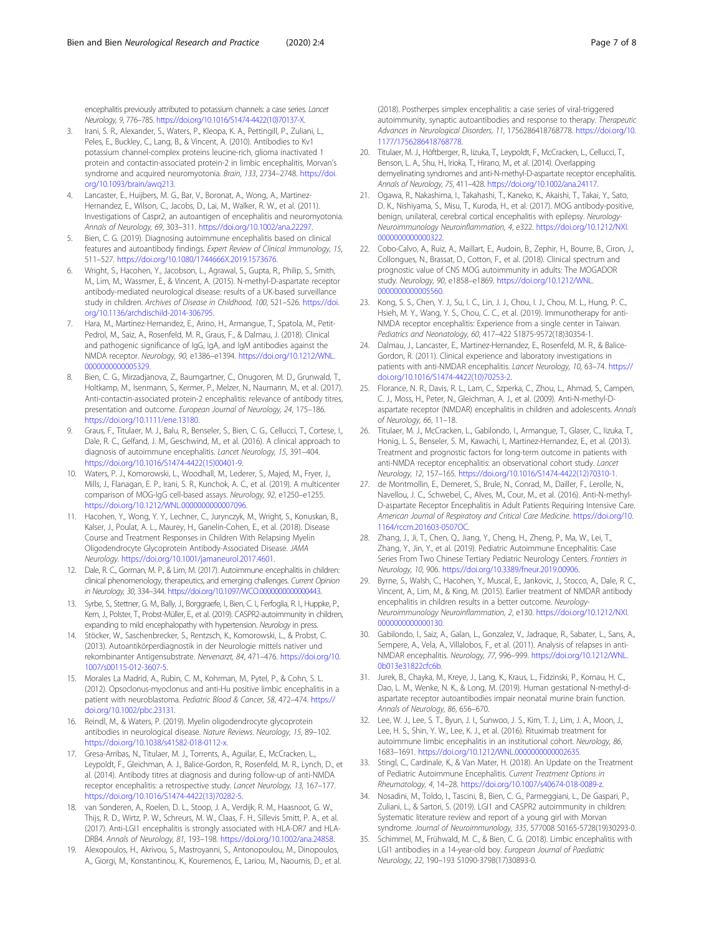<span id="page-6-0"></span>encephalitis previously attributed to potassium channels: a case series. Lancet Neurology, 9, 776–785. https://doi.org/10.1016/S1474-4422(10)70137-X.

- 3. Irani, S. R., Alexander, S., Waters, P., Kleopa, K. A., Pettingill, P., Zuliani, L., Peles, E., Buckley, C., Lang, B., & Vincent, A. (2010). Antibodies to Kv1 potassium channel-complex proteins leucine-rich, glioma inactivated 1 protein and contactin-associated protein-2 in limbic encephalitis, Morvan's syndrome and acquired neuromyotonia. Brain, 133, 2734–2748. https://doi. org/10.1093/brain/awq213.
- Lancaster, E., Huijbers, M. G., Bar, V., Boronat, A., Wong, A., Martinez-Hernandez, E., Wilson, C., Jacobs, D., Lai, M., Walker, R. W., et al. (2011). Investigations of Caspr2, an autoantigen of encephalitis and neuromyotonia. Annals of Neurology, 69, 303–311. https://doi.org/10.1002/ana.22297.
- 5. Bien, C. G. (2019). Diagnosing autoimmune encephalitis based on clinical features and autoantibody findings. Expert Review of Clinical Immunology, 15, 511–527. https://doi.org/10.1080/1744666X.2019.1573676.
- Wright, S., Hacohen, Y., Jacobson, L., Agrawal, S., Gupta, R., Philip, S., Smith, M., Lim, M., Wassmer, E., & Vincent, A. (2015). N-methyl-D-aspartate receptor antibody-mediated neurological disease: results of a UK-based surveillance study in children. Archives of Disease in Childhood, 100, 521–526. https://doi. org/10.1136/archdischild-2014-306795.
- 7. Hara, M., Martinez-Hernandez, E., Arino, H., Armangue, T., Spatola, M., Petit-Pedrol, M., Saiz, A., Rosenfeld, M. R., Graus, F., & Dalmau, J. (2018). Clinical and pathogenic significance of IgG, IgA, and IgM antibodies against the NMDA receptor. Neurology, 90, e1386–e1394. https://doi.org/10.1212/WNL. 0000000000005329.
- 8. Bien, C. G., Mirzadjanova, Z., Baumgartner, C., Onugoren, M. D., Grunwald, T., Holtkamp, M., Isenmann, S., Kermer, P., Melzer, N., Naumann, M., et al. (2017). Anti-contactin-associated protein-2 encephalitis: relevance of antibody titres, presentation and outcome. European Journal of Neurology, 24, 175–186. https://doi.org/10.1111/ene.13180.
- Graus, F., Titulaer, M. J., Balu, R., Benseler, S., Bien, C. G., Cellucci, T., Cortese, I., Dale, R. C., Gelfand, J. M., Geschwind, M., et al. (2016). A clinical approach to diagnosis of autoimmune encephalitis. Lancet Neurology, 15, 391–404. https://doi.org/10.1016/S1474-4422(15)00401-9.
- 10. Waters, P. J., Komorowski, L., Woodhall, M., Lederer, S., Majed, M., Fryer, J., Mills, J., Flanagan, E. P., Irani, S. R., Kunchok, A. C., et al. (2019). A multicenter comparison of MOG-IgG cell-based assays. Neurology, 92, e1250–e1255. https://doi.org/10.1212/WNL.0000000000007096.
- 11. Hacohen, Y., Wong, Y. Y., Lechner, C., Jurynczyk, M., Wright, S., Konuskan, B., Kalser, J., Poulat, A. L., Maurey, H., Ganelin-Cohen, E., et al. (2018). Disease Course and Treatment Responses in Children With Relapsing Myelin Oligodendrocyte Glycoprotein Antibody-Associated Disease. JAMA Neurology. https://doi.org/10.1001/jamaneurol.2017.4601.
- 12. Dale, R. C., Gorman, M. P., & Lim, M. (2017). Autoimmune encephalitis in children: clinical phenomenology, therapeutics, and emerging challenges. Current Opinion in Neurology, 30, 334–344. https://doi.org/10.1097/WCO.0000000000000443.
- 13. Syrbe, S., Stettner, G. M., Bally, J., Borggraefe, I., Bien, C. I., Ferfoglia, R. I., Huppke, P., Kern, J., Polster, T., Probst-Müller, E., et al. (2019). CASPR2-autoimmunity in children, expanding to mild encephalopathy with hypertension. Neurology in press.
- 14. Stöcker, W., Saschenbrecker, S., Rentzsch, K., Komorowski, L., & Probst, C. (2013). Autoantikörperdiagnostik in der Neurologie mittels nativer und rekombinanter Antigensubstrate. Nervenarzt, 84, 471–476. https://doi.org/10. 1007/s00115-012-3607-5.
- 15. Morales La Madrid, A., Rubin, C. M., Kohrman, M., Pytel, P., & Cohn, S. L. (2012). Opsoclonus-myoclonus and anti-Hu positive limbic encephalitis in a patient with neuroblastoma. Pediatric Blood & Cancer, 58, 472–474. https:// doi.org/10.1002/pbc.23131.
- 16. Reindl, M., & Waters, P. (2019). Myelin oligodendrocyte glycoprotein antibodies in neurological disease. Nature Reviews. Neurology, 15, 89–102. https://doi.org/10.1038/s41582-018-0112-x.
- 17. Gresa-Arribas, N., Titulaer, M. J., Torrents, A., Aguilar, E., McCracken, L., Leypoldt, F., Gleichman, A. J., Balice-Gordon, R., Rosenfeld, M. R., Lynch, D., et al. (2014). Antibody titres at diagnosis and during follow-up of anti-NMDA receptor encephalitis: a retrospective study. Lancet Neurology, 13, 167–177. https://doi.org/10.1016/S1474-4422(13)70282-5.
- 18. van Sonderen, A., Roelen, D. L., Stoop, J. A., Verdijk, R. M., Haasnoot, G. W., Thijs, R. D., Wirtz, P. W., Schreurs, M. W., Claas, F. H., Sillevis Smitt, P. A., et al. (2017). Anti-LGI1 encephalitis is strongly associated with HLA-DR7 and HLA-DRB4. Annals of Neurology, 81, 193–198. https://doi.org/10.1002/ana.24858.
- 19. Alexopoulos, H., Akrivou, S., Mastroyanni, S., Antonopoulou, M., Dinopoulos, A., Giorgi, M., Konstantinou, K., Kouremenos, E., Lariou, M., Naoumis, D., et al.

(2018). Postherpes simplex encephalitis: a case series of viral-triggered autoimmunity, synaptic autoantibodies and response to therapy. Therapeutic Advances in Neurological Disorders, 11, 1756286418768778. https://doi.org/10. 1177/1756286418768778.

- 20. Titulaer, M. J., Höftberger, R., Iizuka, T., Leypoldt, F., McCracken, L., Cellucci, T., Benson, L. A., Shu, H., Irioka, T., Hirano, M., et al. (2014). Overlapping demyelinating syndromes and anti-N-methyl-D-aspartate receptor encephalitis. Annals of Neurology, 75, 411–428. https://doi.org/10.1002/ana.24117.
- 21. Ogawa, R., Nakashima, I., Takahashi, T., Kaneko, K., Akaishi, T., Takai, Y., Sato, D. K., Nishiyama, S., Misu, T., Kuroda, H., et al. (2017). MOG antibody-positive, benign, unilateral, cerebral cortical encephalitis with epilepsy. Neurology-Neuroimmunology Neuroinflammation, 4, e322. https://doi.org/10.1212/NXI. 0000000000000322.
- 22. Cobo-Calvo, A., Ruiz, A., Maillart, E., Audoin, B., Zephir, H., Bourre, B., Ciron, J., Collongues, N., Brassat, D., Cotton, F., et al. (2018). Clinical spectrum and prognostic value of CNS MOG autoimmunity in adults: The MOGADOR study. Neurology, 90, e1858–e1869. https://doi.org/10.1212/WNL. 0000000000005560.
- 23. Kong, S. S., Chen, Y. J., Su, I. C., Lin, J. J., Chou, I. J., Chou, M. L., Hung, P. C., Hsieh, M. Y., Wang, Y. S., Chou, C. C., et al. (2019). Immunotherapy for anti-NMDA receptor encephalitis: Experience from a single center in Taiwan. Pediatrics and Neonatology, 60, 417–422 S1875-9572(18)30354-1.
- 24. Dalmau, J., Lancaster, E., Martinez-Hernandez, E., Rosenfeld, M. R., & Balice-Gordon, R. (2011). Clinical experience and laboratory investigations in patients with anti-NMDAR encephalitis. Lancet Neurology, 10, 63–74. https:// doi.org/10.1016/S1474-4422(10)70253-2.
- 25. Florance, N. R., Davis, R. L., Lam, C., Szperka, C., Zhou, L., Ahmad, S., Campen, C. J., Moss, H., Peter, N., Gleichman, A. J., et al. (2009). Anti-N-methyl-Daspartate receptor (NMDAR) encephalitis in children and adolescents. Annals of Neurology, 66, 11–18.
- 26. Titulaer, M. J., McCracken, L., Gabilondo, I., Armangue, T., Glaser, C., Iizuka, T., Honig, L. S., Benseler, S. M., Kawachi, I., Martinez-Hernandez, E., et al. (2013). Treatment and prognostic factors for long-term outcome in patients with anti-NMDA receptor encephalitis: an observational cohort study. Lancet Neurology, 12, 157–165. https://doi.org/10.1016/S1474-4422(12)70310-1.
- 27. de Montmollin, E., Demeret, S., Brule, N., Conrad, M., Dailler, F., Lerolle, N., Navellou, J. C., Schwebel, C., Alves, M., Cour, M., et al. (2016). Anti-N-methyl-D-aspartate Receptor Encephalitis in Adult Patients Requiring Intensive Care. American Journal of Respiratory and Critical Care Medicine. https://doi.org/10. 1164/rccm.201603-0507OC.
- 28. Zhang, J., Ji, T., Chen, Q., Jiang, Y., Cheng, H., Zheng, P., Ma, W., Lei, T., Zhang, Y., Jin, Y., et al. (2019). Pediatric Autoimmune Encephalitis: Case Series From Two Chinese Tertiary Pediatric Neurology Centers. Frontiers in Neurology, 10, 906. https://doi.org/10.3389/fneur.2019.00906.
- 29. Byrne, S., Walsh, C., Hacohen, Y., Muscal, E., Jankovic, J., Stocco, A., Dale, R. C., Vincent, A., Lim, M., & King, M. (2015). Earlier treatment of NMDAR antibody encephalitis in children results in a better outcome. Neurology-Neuroimmunology Neuroinflammation, 2, e130. https://doi.org/10.1212/NXI. 0000000000000130.
- 30. Gabilondo, I., Saiz, A., Galan, L., Gonzalez, V., Jadraque, R., Sabater, L., Sans, A., Sempere, A., Vela, A., Villalobos, F., et al. (2011). Analysis of relapses in anti-NMDAR encephalitis. Neurology, 77, 996–999. https://doi.org/10.1212/WNL. 0b013e31822cfc6b.
- 31. Jurek, B., Chayka, M., Kreye, J., Lang, K., Kraus, L., Fidzinski, P., Kornau, H. C., Dao, L. M., Wenke, N. K., & Long, M. (2019). Human gestational N-methyl-daspartate receptor autoantibodies impair neonatal murine brain function. Annals of Neurology, 86, 656–670.
- 32. Lee, W. J., Lee, S. T., Byun, J. I., Sunwoo, J. S., Kim, T. J., Lim, J. A., Moon, J., Lee, H. S., Shin, Y. W., Lee, K. J., et al. (2016). Rituximab treatment for autoimmune limbic encephalitis in an institutional cohort. Neurology, 86, 1683–1691. https://doi.org/10.1212/WNL.0000000000002635.
- 33. Stingl, C., Cardinale, K., & Van Mater, H. (2018). An Update on the Treatment of Pediatric Autoimmune Encephalitis. Current Treatment Options in Rheumatology, 4, 14–28. https://doi.org/10.1007/s40674-018-0089-z.
- 34. Nosadini, M., Toldo, I., Tascini, B., Bien, C. G., Parmeggiani, L., De Gaspari, P., Zuliani, L., & Sartori, S. (2019). LGI1 and CASPR2 autoimmunity in children: Systematic literature review and report of a young girl with Morvan syndrome. Journal of Neuroimmunology, 335, 577008 S0165-5728(19)30293-0.
- 35. Schimmel, M., Frühwald, M. C., & Bien, C. G. (2018). Limbic encephalitis with LGI1 antibodies in a 14-year-old boy. European Journal of Paediatric Neurology, 22, 190–193 S1090-3798(17)30893-0.